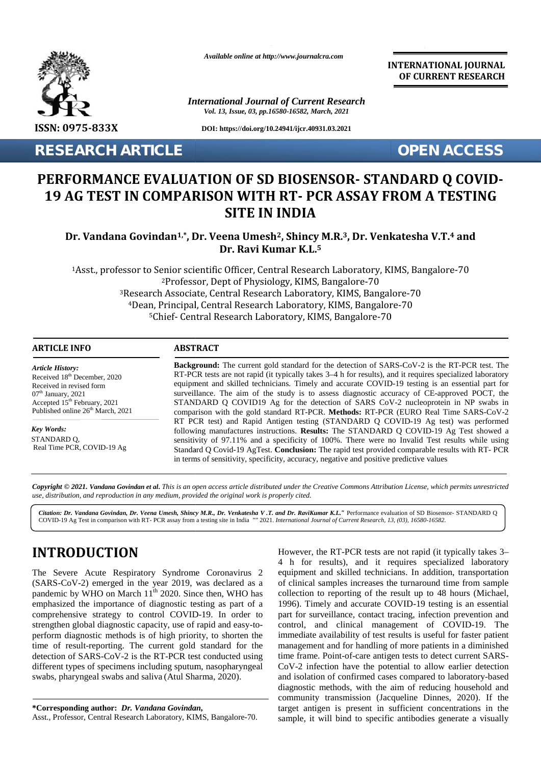

*Available online at http://www.journalcra.com*

*International Journal of Current Research Vol. 13, Issue, 03, pp.16580-16582, March, 2021*

**DOI: https://doi.org/10.24941/ijcr.40931.03.2021**

**RESEARCH ARTICLE OPEN ACCESS**

**INTERNATIONAL JOURNAL OF CURRENT RESEARCH**

# **PERFORMANCE EVALUATION OF SD BIOSENSOR- STANDARD Q COVID- EVALUATION 19 AG TEST IN COMPARISON WITH RT- PCR ASSAY FROM A TESTING WITH SITE IN INDIA**

Dr. Vandana Govindan<sup>1,</sup>\*, Dr. Veena Umesh<sup>2</sup>, Shincy M.R.<sup>3</sup>, Dr. Venkatesha V.T.<del>4</del> and<br>Dr. Ravi Kumar K.L.<sup>5</sup> **Dr. Ravi Kumar K.L.<sup>5</sup>**

Asst., professor to Senior scientific Officer, Central Research Laboratory, KIMS, Bangalore-70 professor to Senior Professor, Dept of Physiology, KIMS, Bangalore-70 Research Associate, Central Research Laboratory, KIMS, Bangalore-70 Dean, Principal, Central Research Laboratory, KIMS, Bangalore-70 rch Associate, Central Research Laboratory, KIMS, Bangalore-70<br>n, Principal, Central Research Laboratory, KIMS, Bangalore-70<br><sup>5</sup>Chief- Central Research Laboratory, KIMS, Bangalore-70

#### **ARTICLE INFO ABSTRACT ARTICLE ABSTRACT**

*Article History: Article History:* Received  $18<sup>th</sup>$  December, 2020 Received in revised form Received in revised form  $07<sup>th</sup>$  January, 2021 Received 18<sup>-1</sup> December, 2020<br>
Received in revised form<br>  $07$ <sup>th</sup> January, 2021<br>
Accepted 15<sup>th</sup> February, 2021<br>
S

*Key Words: Key Words:* Exp words:<br>STANDARD Q, Real Time PCR, COVID-19 Ag

**Background:** The current gold standard for the detection of SARS-CoV-2 is the RT-PCR test. The RT-PCR testsare not rapid (it typically takes 3–4 h for results), and it requires specialized laboratory equipment and skilled technicians. Timely and accurate COVID-19 testing is an essential part for RT-PCR tests are not rapid (it typically takes 3–4 h for results), and it requires specialized laboratory equipment and skilled technicians. Timely and accurate COVID-19 testing is an essential part for surveillance. The a STANDARD Q COVID19 Ag for the detection of SARS CoV-2 nucleoprotein in NP swabs in comparison with the gold standard RT-PCR. **Methods:** RT-PCR (EURO Real Time SARS-CoV-2 STANDARD Q COVID19 Ag for the detection of SARS CoV-2 nucleoprotein in NP swabs in comparison with the gold standard RT-PCR. Methods: RT-PCR (EURO Real Time SARS-CoV-2 RT PCR test) and Rapid Antigen testing (STANDARD Q COV following manufactures instructions. **Results:** The STANDARD Q COVID-19 Ag Test showed a sensitivity of 97.11% and a specificity of 100%. There were no Invalid Test results while using Standard Q Covid-19 AgTest. **Conclusion:** The rapid testprovided comparable results with RT- PCR in terms of sensitivity, specificity, accuracy, negative and positive predictive values Published online  $26<sup>th</sup>$  March, 2021 following manufactures instructions. Results: The STANDARD Q COVID-19 Ag Test showed a sensitivity of 97.11% and a specificity of 100%. There were no Invalid Test results while using Standard Q Covid-19 AgTest. Conclusion: **OPEN ACCESS**<br> **OPEN ACCESS**<br> **ORMANCE EVALUATION OF SD BIOSENSOR- STANDARD Q COVID-<br>
G TEST IN COMPARISON WITH RT- PCR ASSAY FROM A TESTING<br>
SITE IN INDIA<br>
The Ravi Kumar K.L.<sup>5</sup><br>
Asst., professor to Senior scientific Off** more, 2020 RT-PCR tests are not rapid (it typically takes 3–4 h for results),<br>form equipment and skilled technicians. Timely and accurate COVI<br>surveillance. The aim of the study is to assess diagnostic and<br> $\frac{m}{2}$  March,

**Copyright © 2021. Vandana Govindan et al.** This is an open access article distributed under the Creative Commons Attribution License, which permits unrestricted<br>use, distribution, and reproduction in any medium, provided *use, distribution, and reproduction in any medium, provided the original work is properly cited.*

Citation: Dr. Vandana Govindan, Dr. Veena Umesh, Shincy M.R., Dr. Venkatesha V.T. and Dr. RaviKumar K.L. "Performance evaluation of SD Biosensor-STANDARD Q | COVID-19 Ag Test in comparison with RT- PCR assay from a testing site in India "" 2021. *International Journal of Current Research, 13, (03), 16580-16582.*

# **INTRODUCTION INTRODUCTION**

The Severe Acute Respiratory Syndrome Coronavirus 2 The Severe Acute Respiratory Syndrome Coronavirus 2 equi<br>(SARS-CoV-2) emerged in the year 2019, was declared as a of c pandemic by WHO on March  $11^{th}$  2020. Since then, WHO has emphasized the importance of diagnostic testing as part of a comprehensive strategy to control COVID-19. In order to strengthen global diagnostic capacity, use of rapid and easy-to perform diagnostic methods is of high priority, to shorten the time of result-reporting. The current gold standard for the detection of SARS-CoV-2 is the RT-PCR test conducted using different types of specimens including sputum, nasopharyngeal swabs, pharyngeal swabs and saliva (Atul Sharma, 2020). pandemic by WHO on March 11<sup>th</sup> 2020. Since then, WHO has emphasized the importance of diagnostic testing as part of a<br>comprehensive strategy to control COVID-19. In order to<br>strengthen global diagnostic capacity, use of r

**\*Corresponding author:** *Dr. Vandana Govindan***, \*Corresponding**

Asst., Professor, Central Research Laboratory, KIMS, Bangalore-70.

However, the RT-PCR tests are not rapid (it typically takes 3– 4 h for results), and it requires specialized laboratory equipment and skilled technicians. In addition, transportation of clinical samples increases the turnaround time from sample collection to reporting of the result up to 48 hours (Michael, 1996). Timely and accurate COVID-19 testing is an essential part for surveillance, contact tracing, infection prevention and control, and clinical management of COVID-19. The immediate availability of test results is useful for faster patient management and for handling of more patients in a diminished time frame. Point-of-care antigen tests to detect current SARS-CoV-2 infection have the potential to allow earlier detection<br>and isolation of confirmed cases compared to laboratory-based and isolation of confirmed cases compared to laboratory-based diagnostic methods, with the aim of reducing household and community transmission (Jacqueline Dinnes, 2020). If the diagnostic methods, with the aim of reducing household and<br>community transmission (Jacqueline Dinnes, 2020). If the<br>target antigen is present in sufficient concentrations in the sample, it will bind to specific antibodies generate a visually The Severe Acute Respiratory Syndrome Coronavirus 2<br>
(SARS-CoV-2) emerged in the year 2019, was declared as a cof clinical samples increases the turnaround time from sampted<br>
pandemic by WHO on March 11<sup>th</sup> 2020. Since the of clinical samples increases the turnaround time from sample collection to reporting of the result up to 48 hours (Michael, 1996). Timely and accurate COVID-19 testing is an essential part for surveillance, contact tracin er. 2020 RT-CR tests are not rapid (it typically takes 3-4 h for results), and it requires<br>now a surfaint control of the study is to assess diagnosic accuracy of CE and<br>structure. The aim of the study is to assess diagnos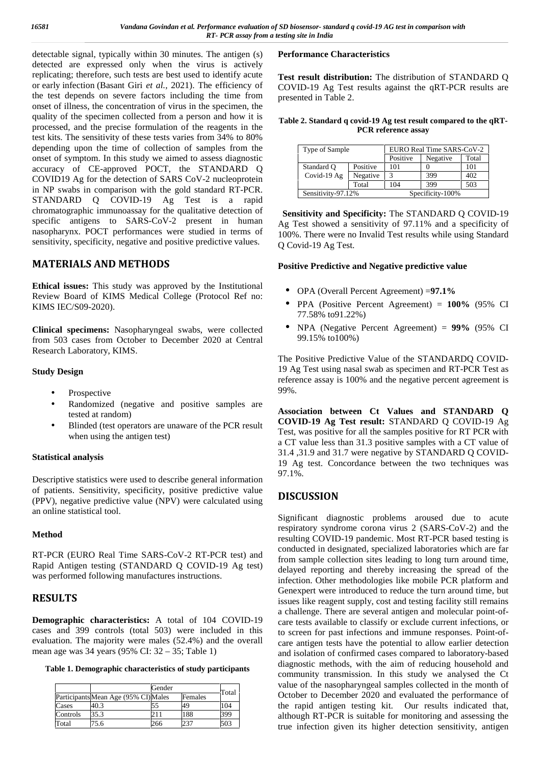detectable signal, typically within 30 minutes. The antigen (s) detected are expressed only when the virus is actively replicating; therefore, such tests are best used to identify acute or early infection (Basant Giri *et al.,* 2021). The efficiency of the test depends on severe factors including the time from onset of illness, the concentration of virus in the specimen, the quality of the specimen collected from a person and how it is processed, and the precise formulation of the reagents in the test kits. The sensitivity of these tests varies from 34% to 80% depending upon the time of collection of samples from the onset of symptom. In this study we aimed to assess diagnostic accuracy of CE-approved POCT, the STANDARD Q COVID19 Ag for the detection of SARS CoV-2 nucleoprotein in NP swabs in comparison with the gold standard RT-PCR. STANDARD Q COVID-19 Ag Test is a rapid chromatographic immunoassay for the qualitative detection of specific antigens to SARS-CoV-2 present in human nasopharynx. POCT performances were studied in terms of sensitivity, specificity, negative and positive predictive values.

## **MATERIALS AND METHODS**

**Ethical issues:** This study was approved by the Institutional Review Board of KIMS Medical College (Protocol Ref no: KIMS IEC/S09-2020).

**Clinical specimens:** Nasopharyngeal swabs, were collected from 503 cases from October to December 2020 at Central Research Laboratory, KIMS.

## **Study Design**

- Prospective
- Randomized (negative and positive samples are tested at random)
- Blinded (test operators are unaware of the PCR result when using the antigen test)

### **Statistical analysis**

Descriptive statistics were used to describe general information of patients. Sensitivity, specificity, positive predictive value (PPV), negative predictive value (NPV) were calculated using an online statistical tool.

### **Method**

RT-PCR (EURO Real Time SARS-CoV-2 RT-PCR test) and Rapid Antigen testing (STANDARD Q COVID-19 Ag test) was performed following manufactures instructions.

## **RESULTS**

**Demographic characteristics:** A total of 104 COVID-19 cases and 399 controls (total 503) were included in this evaluation. The majority were males (52.4%) and the overall mean age was 34 years (95% CI: 32 – 35; Table 1)

**Table 1. Demographic characteristics of study participants**

|          |                                      | Gender |         | Total |
|----------|--------------------------------------|--------|---------|-------|
|          | Participants Mean Age (95% CI) Males |        | Females |       |
| Cases    | 40.3                                 |        | 49      | 104   |
| Controls | 35.3                                 |        | 188     | 399   |
| Total    | 75.6                                 | 266    | 237     | 503   |

#### **Performance Characteristics**

Test result distribution: The distribution of STANDARD Q COVID-19 Ag Test results against the qRT-PCR results are presented in Table 2.

**Table 2. Standard q covid-19 Ag test result compared to the qRT- PCR reference assay**

| Type of Sample     |          | EURO Real Time SARS-CoV-2 |                  |       |  |
|--------------------|----------|---------------------------|------------------|-------|--|
|                    |          | Positive                  | Negative         | Total |  |
| Standard O         | Positive | 101                       |                  | 101   |  |
| Covid-19 $Ag$      | Negative |                           | 399              | 402   |  |
|                    | Total    | 104                       | 399              | 503   |  |
| Sensitivity-97.12% |          |                           | Specificity-100% |       |  |

**Sensitivity and Specificity:** The STANDARD Q COVID-19 Ag Test showed a sensitivity of 97.11% and a specificity of 100%. There were no Invalid Test results while using Standard Q Covid-19 Ag Test.

### **Positive Predictive and Negative predictive value**

- OPA (Overall Percent Agreement) =**97.1%**
- PPA (Positive Percent Agreement) = **100%** (95% CI 77.58% to91.22%)
- NPA (Negative Percent Agreement) = **99%** (95% CI 99.15% to100%)

The Positive Predictive Value of the STANDARDQ COVID- 19 Ag Test using nasal swab as specimen and RT-PCR Test as reference assay is 100% and the negative percent agreement is 99%.

**Association between Ct Values and STANDARD Q COVID-19 Ag Test result:** STANDARD Q COVID-19 Ag Test, was positive for all the samples positive for RT PCR with a CT value less than 31.3 positive samples with a CT value of 31.4 ,31.9 and 31.7 were negative by STANDARD Q COVID- 19 Ag test. Concordance between the two techniques was 97.1%.

# **DISCUSSION**

Significant diagnostic problems aroused due to acute respiratory syndrome corona virus 2 (SARS-CoV-2) and the resulting COVID-19 pandemic. Most RT-PCR based testing is conducted in designated, specialized laboratories which are far from sample collection sites leading to long turn around time, delayed reporting and thereby increasing the spread of the infection. Other methodologies like mobile PCR platform and Genexpert were introduced to reduce the turn around time, but issues like reagent supply, cost and testing facility still remains a challenge. There are several antigen and molecular point-of care tests available to classify or exclude current infections, or to screen for past infections and immune responses. Point-of care antigen tests have the potential to allow earlier detection and isolation of confirmed cases compared to laboratory-based diagnostic methods, with the aim of reducing household and community transmission. In this study we analysed the Ct value of the nasopharyngeal samples collected in the month of October to December 2020 and evaluated the performance of the rapid antigen testing kit. Our results indicated that, although RT-PCR is suitable for monitoring and assessing the true infection given its higher detection sensitivity, antigen